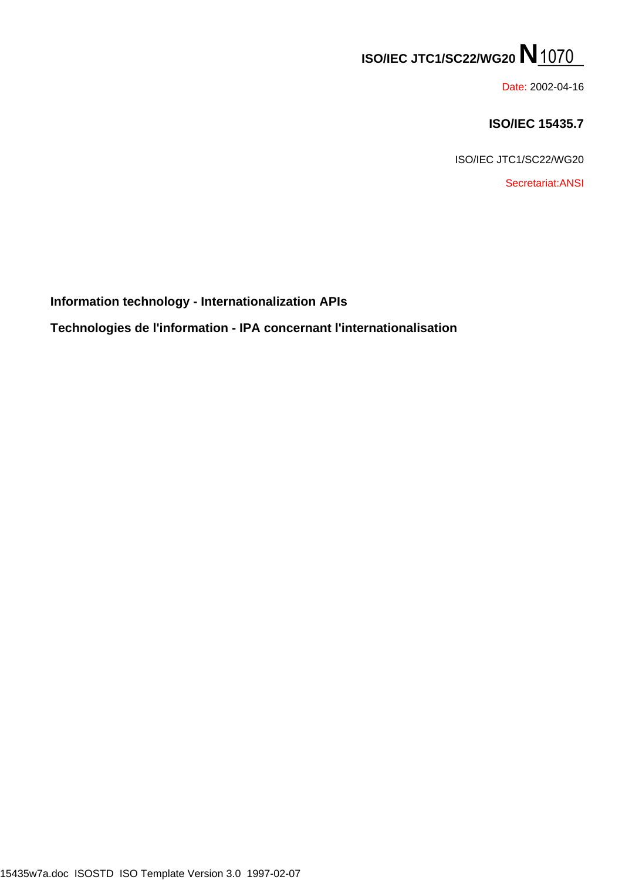# **ISO/IEC JTC1/SC22/WG20 N\_\_\_**

Date: 2002-04-16

## **ISO/IEC 15435.7**

ISO/IEC JTC1/SC22/WG20

Secretariat:ANSI

**Information technology - Internationalization APIs**

**Technologies de l'information - IPA concernant l'internationalisation** 150/IEC JTC.1/SC22/WG20 **N**<br>
190/IEC 14543<br>
150/IEC 45435<br>
150-IEC 45435-02-0716<br>
150-IEC 470-15436-07<br>
15405-wadeo ISOSTD ISO Template Variation 3.0 1997-02-07<br>
15405-wadeo ISOSTD ISO Template Variation 3.0 1997-02-07<br>
15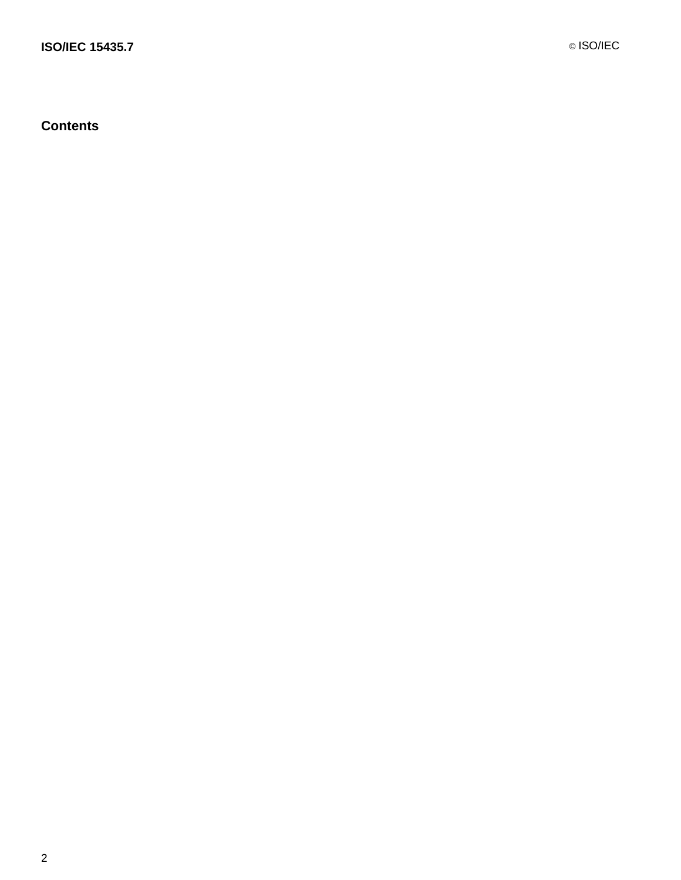**Contents**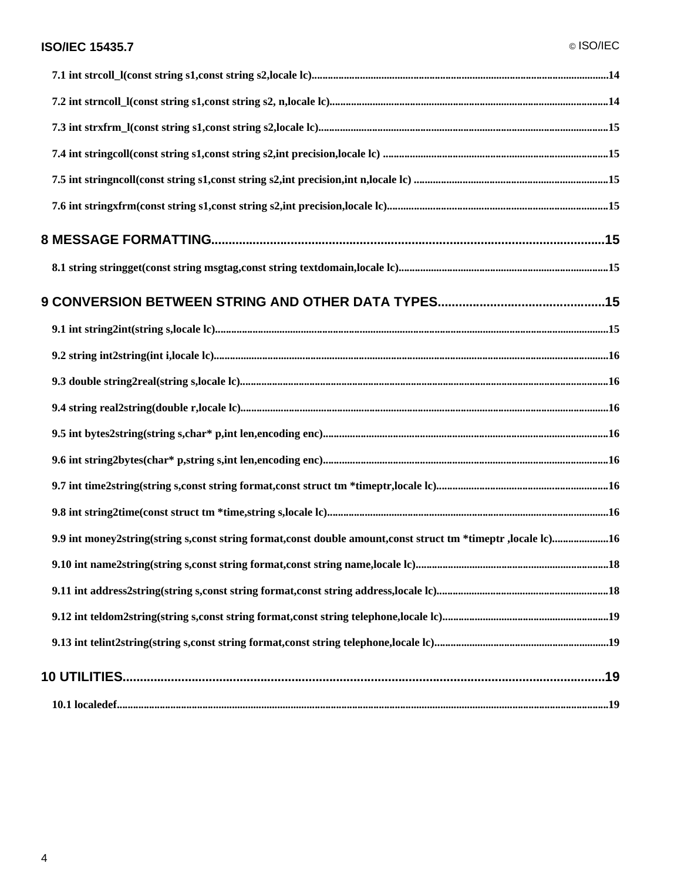| 9.9 int money2string(string s,const string format,const double amount,const struct tm *timeptr ,locale lc)16 |  |
|--------------------------------------------------------------------------------------------------------------|--|
|                                                                                                              |  |
|                                                                                                              |  |
|                                                                                                              |  |
|                                                                                                              |  |
|                                                                                                              |  |
|                                                                                                              |  |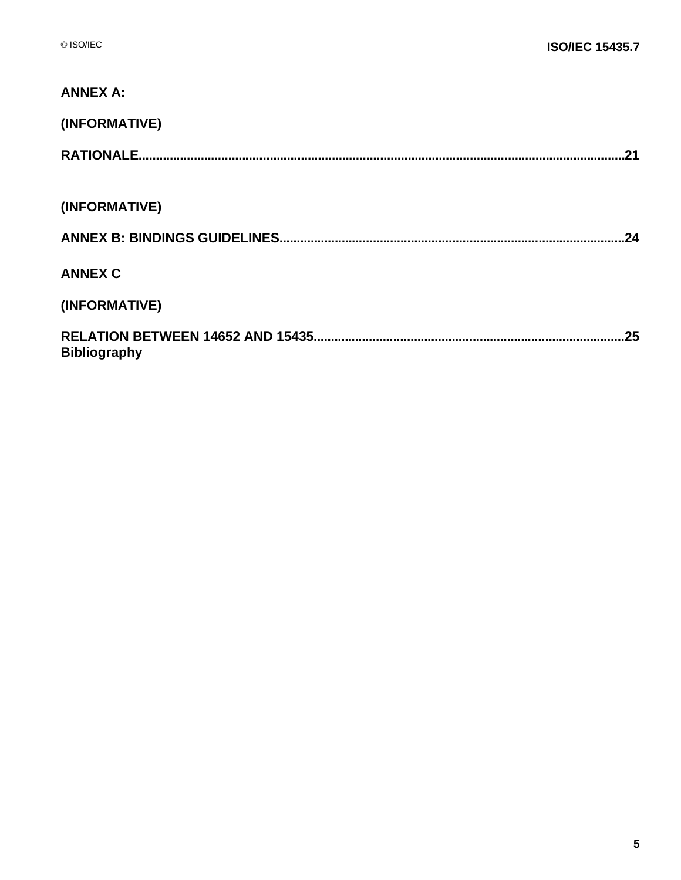| <b>ANNEX A:</b>            |
|----------------------------|
| (INFORMATIVE)              |
| .21                        |
|                            |
| (INFORMATIVE)              |
| .24                        |
| <b>ANNEX C</b>             |
| (INFORMATIVE)              |
| .25<br><b>Bibliography</b> |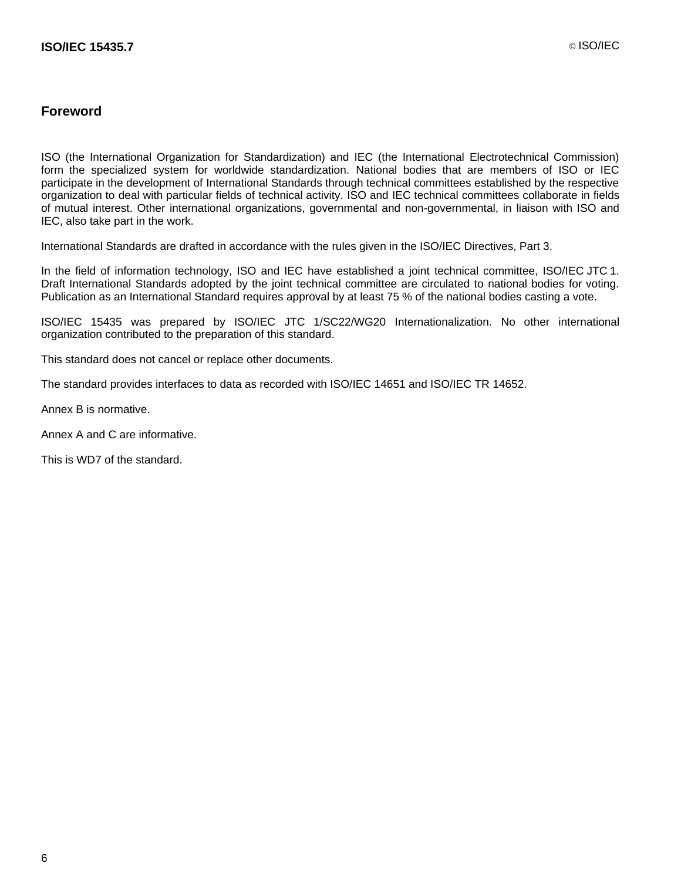#### **Foreword**

ISO (the International Organization for Standardization) and IEC (the International Electrotechnical Commission) form the specialized system for worldwide standardization. National bodies that are members of ISO or IEC participate in the development of International Standards through technical committees established by the respective organization to deal with particular fields of technical activity. ISO and IEC technical committees collaborate in fields of mutual interest. Other international organizations, governmental and non-governmental, in liaison with ISO and IEC, also take part in the work.

International Standards are drafted in accordance with the rules given in the ISO/IEC Directives, Part 3.

In the field of information technology, ISO and IEC have established a joint technical committee, ISO/IEC JTC 1. Draft International Standards adopted by the joint technical committee are circulated to national bodies for voting. Publication as an International Standard requires approval by at least 75 % of the national bodies casting a vote.

ISO/IEC 15435 was prepared by ISO/IEC JTC 1/SC22/WG20 Internationalization. No other international organization contributed to the preparation of this standard.

This standard does not cancel or replace other documents.

The standard provides interfaces to data as recorded with ISO/IEC 14651 and ISO/IEC TR 14652.

Annex B is normative.

Annex A and C are informative.

This is WD7 of the standard.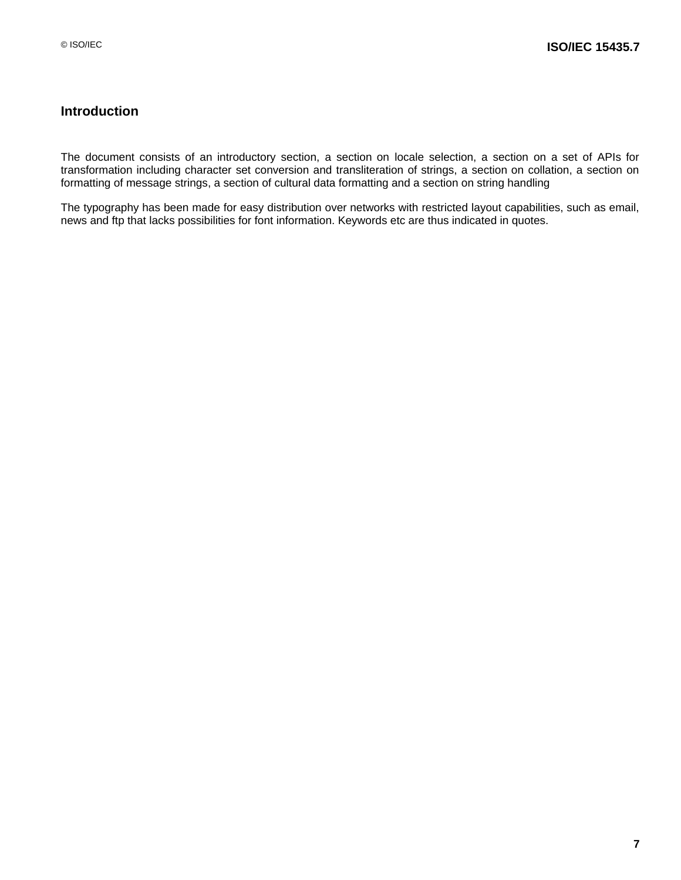## **Introduction**

The document consists of an introductory section, a section on locale selection, a section on a set of APIs for transformation including character set conversion and transliteration of strings, a section on collation, a section on formatting of message strings, a section of cultural data formatting and a section on string handling

The typography has been made for easy distribution over networks with restricted layout capabilities, such as email, news and ftp that lacks possibilities for font information. Keywords etc are thus indicated in quotes.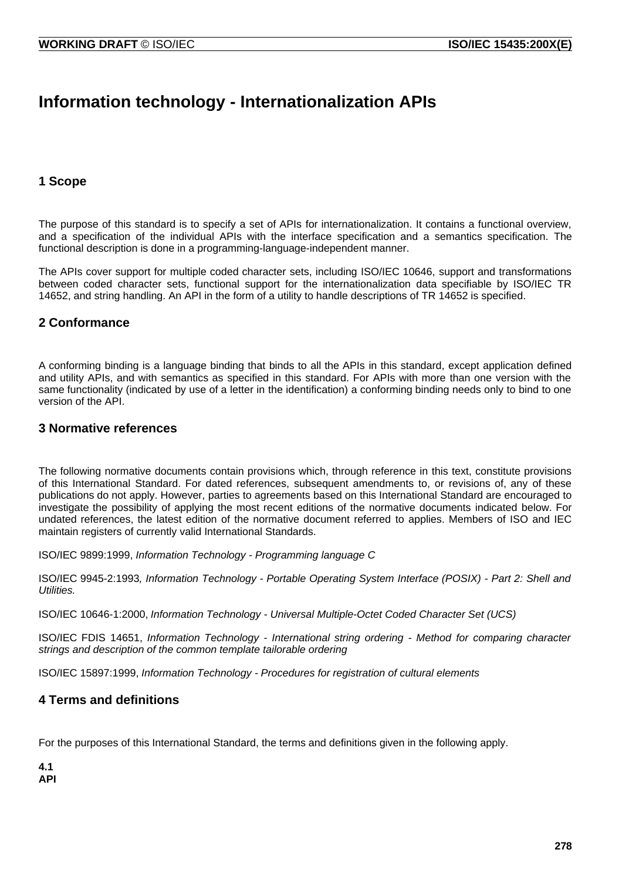## **Information technology - Internationalization APIs**

### **1 Scope**

The purpose of this standard is to specify a set of APIs for internationalization. It contains a functional overview, and a specification of the individual APIs with the interface specification and a semantics specification. The functional description is done in a programming-language-independent manner.

The APIs cover support for multiple coded character sets, including ISO/IEC 10646, support and transformations between coded character sets, functional support for the internationalization data specifiable by ISO/IEC TR 14652, and string handling. An API in the form of a utility to handle descriptions of TR 14652 is specified.

### **2 Conformance**

A conforming binding is a language binding that binds to all the APIs in this standard, except application defined and utility APIs, and with semantics as specified in this standard. For APIs with more than one version with the same functionality (indicated by use of a letter in the identification) a conforming binding needs only to bind to one version of the API.

#### **3 Normative references**

The following normative documents contain provisions which, through reference in this text, constitute provisions of this International Standard. For dated references, subsequent amendments to, or revisions of, any of these publications do not apply. However, parties to agreements based on this International Standard are encouraged to investigate the possibility of applying the most recent editions of the normative documents indicated below. For undated references, the latest edition of the normative document referred to applies. Members of ISO and IEC maintain registers of currently valid International Standards.

ISO/IEC 9899:1999, Information Technology - Programming language C

ISO/IEC 9945-2:1993, Information Technology - Portable Operating System Interface (POSIX) - Part 2: Shell and Utilities.

ISO/IEC 10646-1:2000, Information Technology - Universal Multiple-Octet Coded Character Set (UCS)

ISO/IEC FDIS 14651, Information Technology - International string ordering - Method for comparing character strings and description of the common template tailorable ordering

ISO/IEC 15897:1999, Information Technology - Procedures for registration of cultural elements

#### **4 Terms and definitions**

For the purposes of this International Standard, the terms and definitions given in the following apply.

**4.1 API**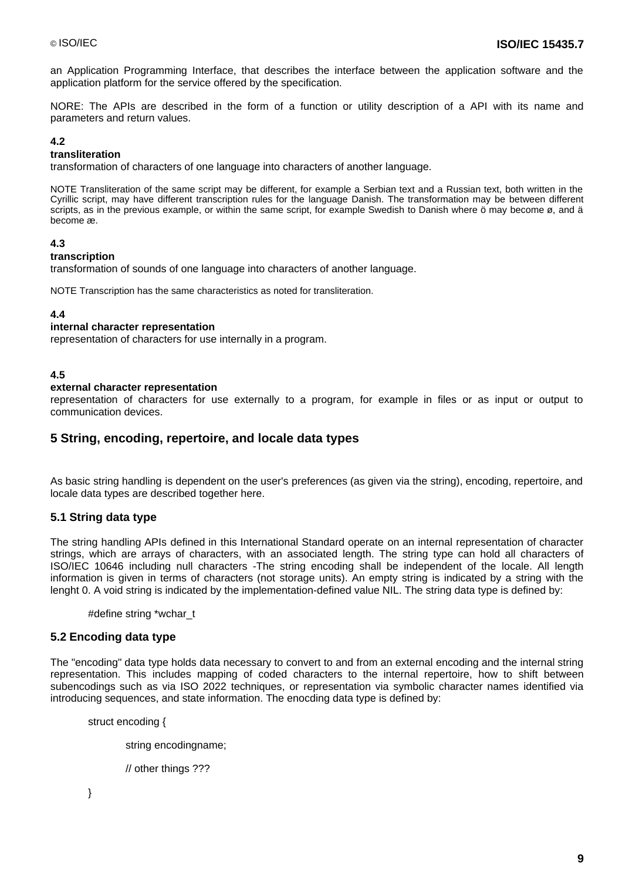an Application Programming Interface, that describes the interface between the application software and the application platform for the service offered by the specification.

NORE: The APIs are described in the form of a function or utility description of a API with its name and parameters and return values.

#### **4.2**

#### **transliteration**

transformation of characters of one language into characters of another language.

NOTE Transliteration of the same script may be different, for example a Serbian text and a Russian text, both written in the Cyrillic script, may have different transcription rules for the language Danish. The transformation may be between different scripts, as in the previous example, or within the same script, for example Swedish to Danish where  $\ddot{o}$  may become ø, and ä become æ.

#### **4.3**

#### **transcription**

transformation of sounds of one language into characters of another language.

NOTE Transcription has the same characteristics as noted for transliteration.

#### **4.4**

#### **internal character representation**

representation of characters for use internally in a program.

#### **4.5**

#### **external character representation**

representation of characters for use externally to a program, for example in files or as input or output to communication devices.

#### **5 String, encoding, repertoire, and locale data types**

As basic string handling is dependent on the user's preferences (as given via the string), encoding, repertoire, and locale data types are described together here.

#### **5.1 String data type**

The string handling APIs defined in this International Standard operate on an internal representation of character strings, which are arrays of characters, with an associated length. The string type can hold all characters of ISO/IEC 10646 including null characters -The string encoding shall be independent of the locale. All length information is given in terms of characters (not storage units). An empty string is indicated by a string with the lenght 0. A void string is indicated by the implementation-defined value NIL. The string data type is defined by:

#define string \*wchar\_t

#### **5.2 Encoding data type**

The "encoding" data type holds data necessary to convert to and from an external encoding and the internal string representation. This includes mapping of coded characters to the internal repertoire, how to shift between subencodings such as via ISO 2022 techniques, or representation via symbolic character names identified via introducing sequences, and state information. The enocding data type is defined by:

struct encoding {

string encodingname;

// other things ???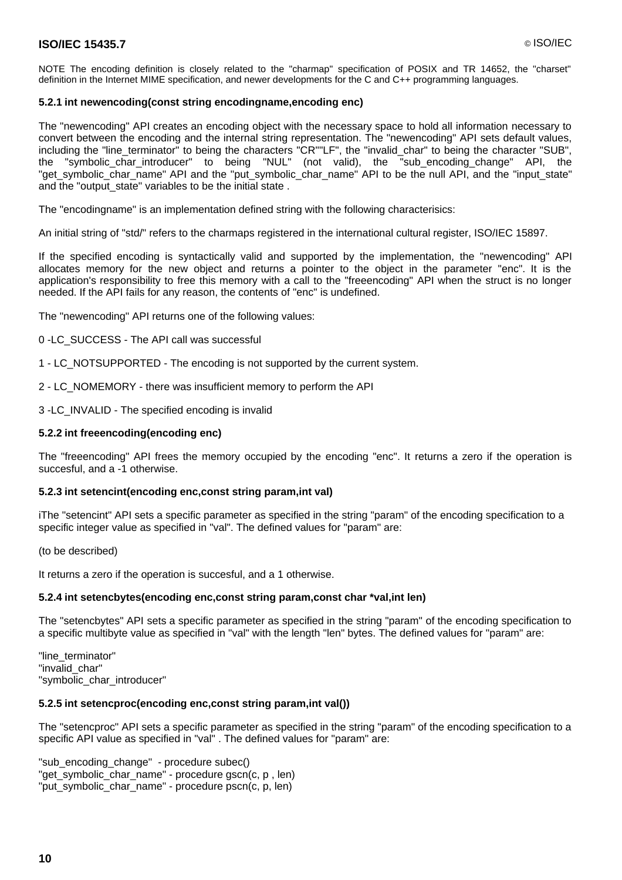#### **ISO/IEC 15435.7** © ISO/IEC

NOTE The encoding definition is closely related to the "charmap" specification of POSIX and TR 14652, the "charset" definition in the Internet MIME specification, and newer developments for the C and C++ programming languages.

#### **5.2.1 int newencoding(const string encodingname,encoding enc)**

The "newencoding" API creates an encoding object with the necessary space to hold all information necessary to convert between the encoding and the internal string representation. The "newencoding" API sets default values, including the "line\_terminator" to being the characters "CR""LF", the "invalid\_char" to being the character "SUB", the "symbolic\_char\_introducer" to being "NUL" (not valid), the "sub\_encoding\_change" API, the "get\_symbolic\_char\_name" API and the "put\_symbolic\_char\_name" API to be the null API, and the "input\_state" and the "output\_state" variables to be the initial state .

The "encodingname" is an implementation defined string with the following characterisics:

An initial string of "std/" refers to the charmaps registered in the international cultural register, ISO/IEC 15897.

If the specified encoding is syntactically valid and supported by the implementation, the "newencoding" API allocates memory for the new object and returns a pointer to the object in the parameter "enc". It is the application's responsibility to free this memory with a call to the "freeencoding" API when the struct is no longer needed. If the API fails for any reason, the contents of "enc" is undefined.

The "newencoding" API returns one of the following values:

0 -LC\_SUCCESS - The API call was successful

1 - LC\_NOTSUPPORTED - The encoding is not supported by the current system.

2 - LC\_NOMEMORY - there was insufficient memory to perform the API

3 -LC\_INVALID - The specified encoding is invalid

#### **5.2.2 int freeencoding(encoding enc)**

The "freeencoding" API frees the memory occupied by the encoding "enc". It returns a zero if the operation is succesful, and a -1 otherwise.

#### **5.2.3 int setencint(encoding enc,const string param,int val)**

iThe "setencint" API sets a specific parameter as specified in the string "param" of the encoding specification to a specific integer value as specified in "val". The defined values for "param" are:

(to be described)

It returns a zero if the operation is succesful, and a 1 otherwise.

#### **5.2.4 int setencbytes(encoding enc,const string param,const char \*val,int len)**

The "setencbytes" API sets a specific parameter as specified in the string "param" of the encoding specification to a specific multibyte value as specified in "val" with the length "len" bytes. The defined values for "param" are:

"line\_terminator" "invalid\_char" "symbolic char introducer"

#### **5.2.5 int setencproc(encoding enc,const string param,int val())**

The "setencproc" API sets a specific parameter as specified in the string "param" of the encoding specification to a specific API value as specified in "val" . The defined values for "param" are:

"sub\_encoding\_change" - procedure subec() "get\_symbolic\_char\_name" - procedure gscn(c, p , len) "put\_symbolic\_char\_name" - procedure pscn(c, p, len)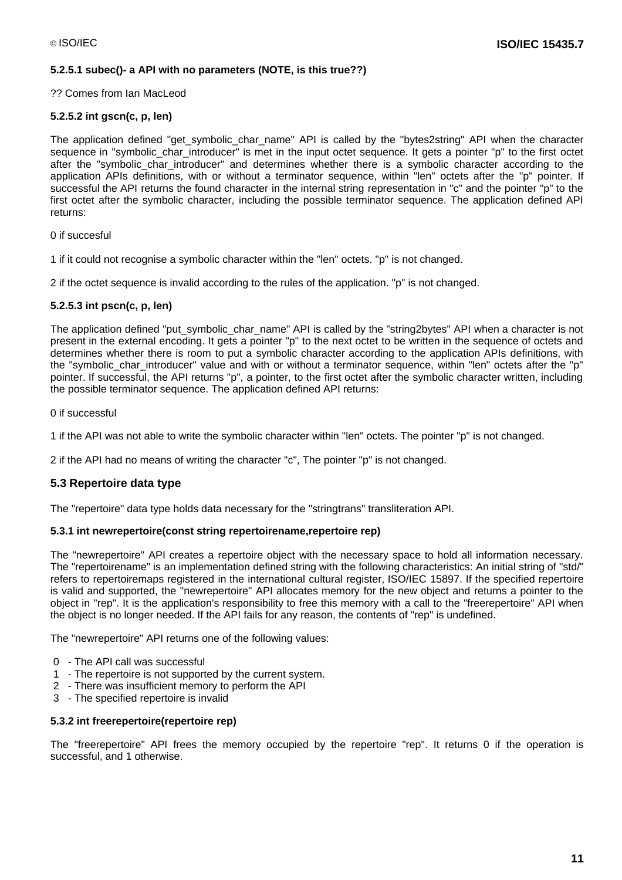#### **5.2.5.1 subec()- a API with no parameters (NOTE, is this true??)**

#### ?? Comes from Ian MacLeod

#### **5.2.5.2 int gscn(c, p, len)**

The application defined "get symbolic char name" API is called by the "bytes2string" API when the character sequence in "symbolic char introducer" is met in the input octet sequence. It gets a pointer "p" to the first octet after the "symbolic\_char\_introducer" and determines whether there is a symbolic character according to the application APIs definitions, with or without a terminator sequence, within "len" octets after the "p" pointer. If successful the API returns the found character in the internal string representation in "c" and the pointer "p" to the first octet after the symbolic character, including the possible terminator sequence. The application defined API returns:

0 if succesful

1 if it could not recognise a symbolic character within the "len" octets. "p" is not changed.

2 if the octet sequence is invalid according to the rules of the application. "p" is not changed.

#### **5.2.5.3 int pscn(c, p, len)**

The application defined "put symbolic char name" API is called by the "string2bytes" API when a character is not present in the external encoding. It gets a pointer "p" to the next octet to be written in the sequence of octets and determines whether there is room to put a symbolic character according to the application APIs definitions, with the "symbolic char introducer" value and with or without a terminator sequence, within "len" octets after the "p" pointer. If successful, the API returns "p", a pointer, to the first octet after the symbolic character written, including the possible terminator sequence. The application defined API returns:

#### 0 if successful

1 if the API was not able to write the symbolic character within "len" octets. The pointer "p" is not changed.

2 if the API had no means of writing the character "c", The pointer "p" is not changed.

#### **5.3 Repertoire data type**

The "repertoire" data type holds data necessary for the "stringtrans" transliteration API.

#### **5.3.1 int newrepertoire(const string repertoirename,repertoire rep)**

The "newrepertoire" API creates a repertoire object with the necessary space to hold all information necessary. The "repertoirename" is an implementation defined string with the following characteristics: An initial string of "std/" refers to repertoiremaps registered in the international cultural register, ISO/IEC 15897. If the specified repertoire is valid and supported, the "newrepertoire" API allocates memory for the new object and returns a pointer to the object in "rep". It is the application's responsibility to free this memory with a call to the "freerepertoire" API when the object is no longer needed. If the API fails for any reason, the contents of "rep" is undefined.

The "newrepertoire" API returns one of the following values:

- 0 The API call was successful
- 1 The repertoire is not supported by the current system.
- 2 There was insufficient memory to perform the API
- 3 The specified repertoire is invalid

#### **5.3.2 int freerepertoire(repertoire rep)**

The "freerepertoire" API frees the memory occupied by the repertoire "rep". It returns 0 if the operation is successful, and 1 otherwise.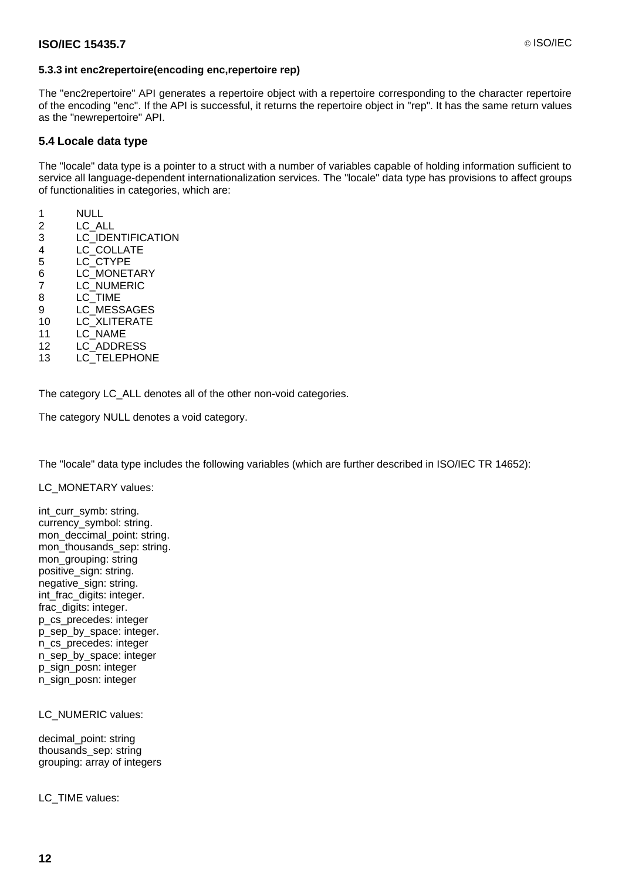#### **5.3.3 int enc2repertoire(encoding enc,repertoire rep)**

The "enc2repertoire" API generates a repertoire object with a repertoire corresponding to the character repertoire of the encoding "enc". If the API is successful, it returns the repertoire object in "rep". It has the same return values as the "newrepertoire" API.

#### **5.4 Locale data type**

The "locale" data type is a pointer to a struct with a number of variables capable of holding information sufficient to service all language-dependent internationalization services. The "locale" data type has provisions to affect groups of functionalities in categories, which are:

- 1 NULL
- 2 LC\_ALL
- 3 LC\_IDENTIFICATION
- 4 LC\_COLLATE
- 5 LC\_CTYPE
- 6 LC\_MONETARY
- 7 LC\_NUMERIC
- 8 LC\_TIME
- 9 LC\_MESSAGES 10 LC\_XLITERATE
- 11 LC\_NAME
- 12 LC\_ADDRESS
- 13 LC\_TELEPHONE

The category LC\_ALL denotes all of the other non-void categories.

The category NULL denotes a void category.

The "locale" data type includes the following variables (which are further described in ISO/IEC TR 14652):

LC\_MONETARY values:

int\_curr\_symb: string. currency\_symbol: string. mon\_deccimal\_point: string. mon\_thousands\_sep: string. mon\_grouping: string positive\_sign: string. negative\_sign: string. int\_frac\_digits: integer. frac\_digits: integer. p\_cs\_precedes: integer p\_sep\_by\_space: integer. n\_cs\_precedes: integer n\_sep\_by\_space: integer p\_sign\_posn: integer n\_sign\_posn: integer

LC\_NUMERIC values:

decimal\_point: string thousands\_sep: string grouping: array of integers

LC\_TIME values: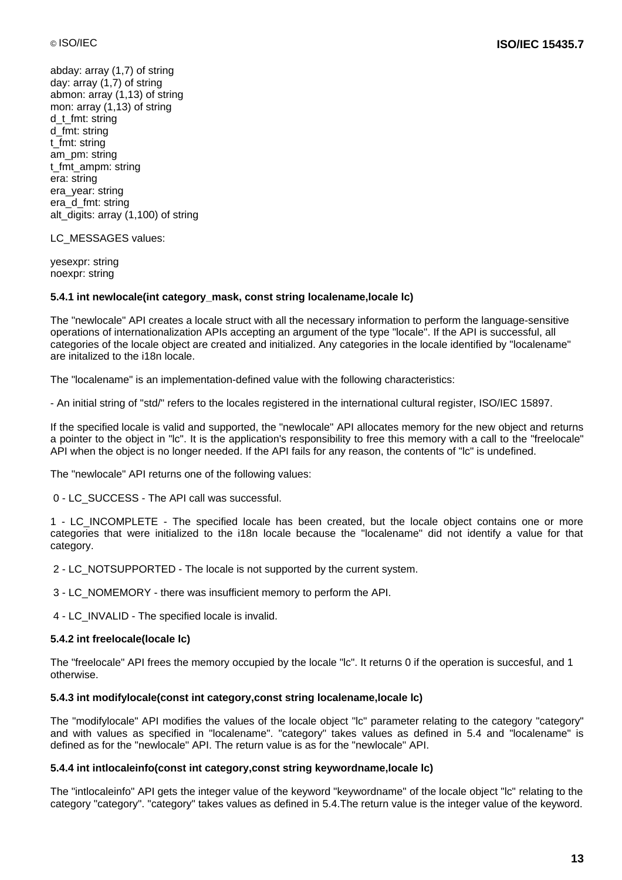abday: array (1,7) of string day: array (1,7) of string abmon: array (1,13) of string mon: array (1,13) of string d\_t\_fmt: string d\_fmt: string t\_fmt: string am\_pm: string t\_fmt\_ampm: string era: string era\_year: string era\_d\_fmt: string alt digits: array (1,100) of string

LC\_MESSAGES values:

yesexpr: string noexpr: string

#### **5.4.1 int newlocale(int category\_mask, const string localename,locale lc)**

The "newlocale" API creates a locale struct with all the necessary information to perform the language-sensitive operations of internationalization APIs accepting an argument of the type "locale". If the API is successful, all categories of the locale object are created and initialized. Any categories in the locale identified by "localename" are initalized to the i18n locale.

The "localename" is an implementation-defined value with the following characteristics:

- An initial string of "std/" refers to the locales registered in the international cultural register, ISO/IEC 15897.

If the specified locale is valid and supported, the "newlocale" API allocates memory for the new object and returns a pointer to the object in "lc". It is the application's responsibility to free this memory with a call to the "freelocale" API when the object is no longer needed. If the API fails for any reason, the contents of "lc" is undefined.

The "newlocale" API returns one of the following values:

0 - LC\_SUCCESS - The API call was successful.

1 - LC\_INCOMPLETE - The specified locale has been created, but the locale object contains one or more categories that were initialized to the i18n locale because the "localename" did not identify a value for that category.

2 - LC\_NOTSUPPORTED - The locale is not supported by the current system.

3 - LC\_NOMEMORY - there was insufficient memory to perform the API.

4 - LC\_INVALID - The specified locale is invalid.

#### **5.4.2 int freelocale(locale lc)**

The "freelocale" API frees the memory occupied by the locale "lc". It returns 0 if the operation is succesful, and 1 otherwise.

#### **5.4.3 int modifylocale(const int category,const string localename,locale lc)**

The "modifylocale" API modifies the values of the locale object "lc" parameter relating to the category "category" and with values as specified in "localename". "category" takes values as defined in 5.4 and "localename" is defined as for the "newlocale" API. The return value is as for the "newlocale" API.

#### **5.4.4 int intlocaleinfo(const int category,const string keywordname,locale lc)**

The "intlocaleinfo" API gets the integer value of the keyword "keywordname" of the locale object "lc" relating to the category "category". "category" takes values as defined in 5.4.The return value is the integer value of the keyword.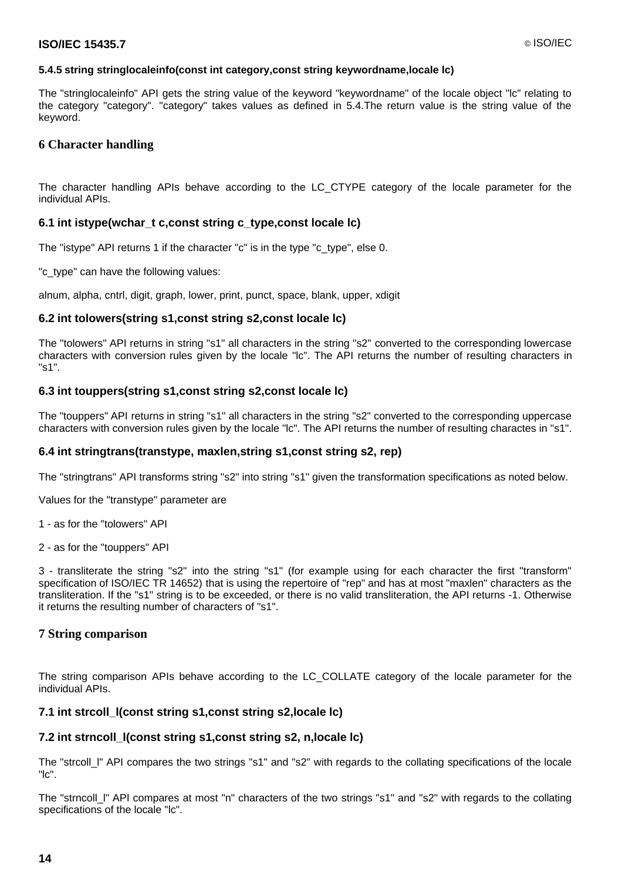#### **5.4.5 string stringlocaleinfo(const int category,const string keywordname,locale lc)**

The "stringlocaleinfo" API gets the string value of the keyword "keywordname" of the locale object "lc" relating to the category "category". "category" takes values as defined in 5.4.The return value is the string value of the keyword.

#### **6 Character handling**

The character handling APIs behave according to the LC\_CTYPE category of the locale parameter for the individual APIs.

#### **6.1 int istype(wchar\_t c,const string c\_type,const locale lc)**

The "istype" API returns 1 if the character "c" is in the type "c\_type", else 0.

"c\_type" can have the following values:

alnum, alpha, cntrl, digit, graph, lower, print, punct, space, blank, upper, xdigit

#### **6.2 int tolowers(string s1,const string s2,const locale lc)**

The "tolowers" API returns in string "s1" all characters in the string "s2" converted to the corresponding lowercase characters with conversion rules given by the locale "lc". The API returns the number of resulting characters in "s1".

#### **6.3 int touppers(string s1,const string s2,const locale lc)**

The "touppers" API returns in string "s1" all characters in the string "s2" converted to the corresponding uppercase characters with conversion rules given by the locale "lc". The API returns the number of resulting charactes in "s1".

#### **6.4 int stringtrans(transtype, maxlen,string s1,const string s2, rep)**

The "stringtrans" API transforms string "s2" into string "s1" given the transformation specifications as noted below.

Values for the "transtype" parameter are

1 - as for the "tolowers" API

2 - as for the "touppers" API

3 - transliterate the string "s2" into the string "s1" (for example using for each character the first "transform" specification of ISO/IEC TR 14652) that is using the repertoire of "rep" and has at most "maxlen" characters as the transliteration. If the "s1" string is to be exceeded, or there is no valid transliteration, the API returns -1. Otherwise it returns the resulting number of characters of "s1".

#### **7 String comparison**

The string comparison APIs behave according to the LC\_COLLATE category of the locale parameter for the individual APIs.

#### **7.1 int strcoll\_l(const string s1,const string s2,locale lc)**

#### **7.2 int strncoll\_l(const string s1,const string s2, n,locale lc)**

The "strcoll\_l" API compares the two strings "s1" and "s2" with regards to the collating specifications of the locale "lc".

The "strncoll I" API compares at most "n" characters of the two strings "s1" and "s2" with regards to the collating specifications of the locale "lc".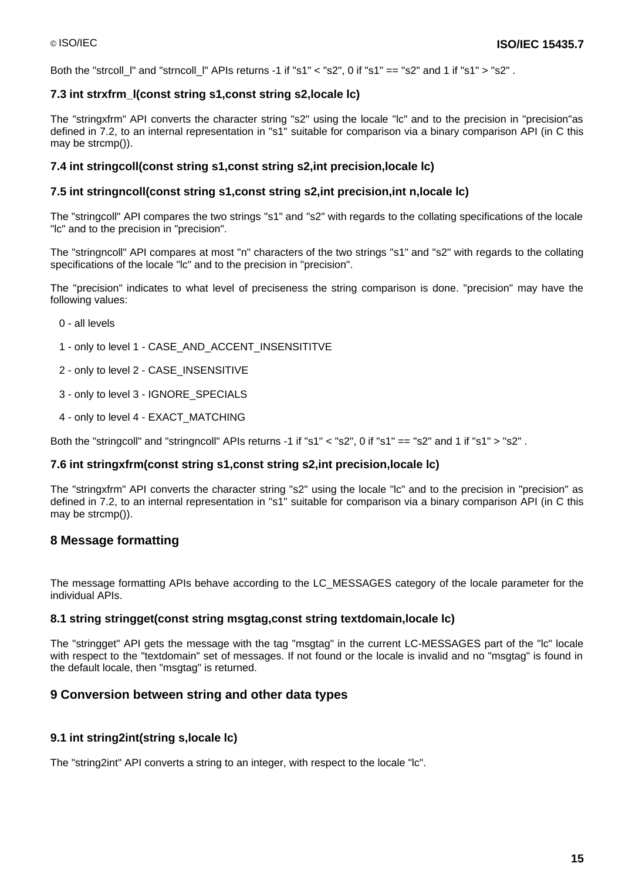Both the "strcoll I" and "strncoll I" APIs returns -1 if "s1"  $\lt$  "s2", 0 if "s1"  $==$  "s2" and 1 if "s1"  $>$  "s2" .

#### **7.3 int strxfrm\_l(const string s1,const string s2,locale lc)**

The "stringxfrm" API converts the character string "s2" using the locale "lc" and to the precision in "precision"as defined in 7.2, to an internal representation in "s1" suitable for comparison via a binary comparison API (in C this may be strcmp()).

#### **7.4 int stringcoll(const string s1,const string s2,int precision,locale lc)**

#### **7.5 int stringncoll(const string s1,const string s2,int precision,int n,locale lc)**

The "stringcoll" API compares the two strings "s1" and "s2" with regards to the collating specifications of the locale "lc" and to the precision in "precision".

The "stringncoll" API compares at most "n" characters of the two strings "s1" and "s2" with regards to the collating specifications of the locale "lc" and to the precision in "precision".

The "precision" indicates to what level of preciseness the string comparison is done. "precision" may have the following values:

- 0 all levels
- 1 only to level 1 CASE\_AND\_ACCENT\_INSENSITITVE
- 2 only to level 2 CASE\_INSENSITIVE
- 3 only to level 3 IGNORE\_SPECIALS
- 4 only to level 4 EXACT\_MATCHING

Both the "stringcoll" and "stringncoll" APIs returns -1 if "s1" < "s2", 0 if "s1" == "s2" and 1 if "s1" > "s2" .

#### **7.6 int stringxfrm(const string s1,const string s2,int precision,locale lc)**

The "stringxfrm" API converts the character string "s2" using the locale "lc" and to the precision in "precision" as defined in 7.2, to an internal representation in "s1" suitable for comparison via a binary comparison API (in C this may be strcmp()).

#### **8 Message formatting**

The message formatting APIs behave according to the LC\_MESSAGES category of the locale parameter for the individual APIs.

#### **8.1 string stringget(const string msgtag,const string textdomain,locale lc)**

The "stringget" API gets the message with the tag "msgtag" in the current LC-MESSAGES part of the "lc" locale with respect to the "textdomain" set of messages. If not found or the locale is invalid and no "msgtag" is found in the default locale, then "msgtag" is returned.

#### **9 Conversion between string and other data types**

#### **9.1 int string2int(string s,locale lc)**

The "string2int" API converts a string to an integer, with respect to the locale "lc".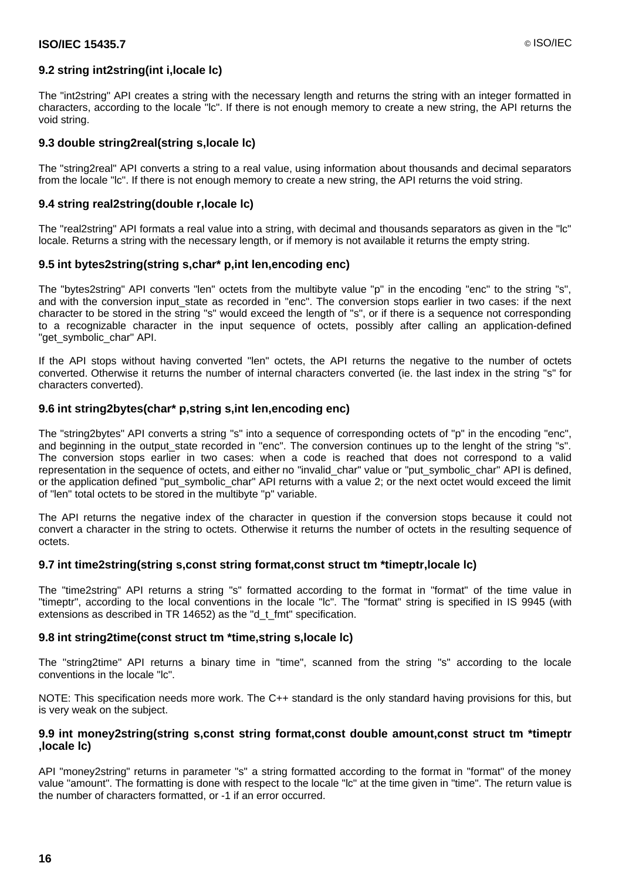#### **9.2 string int2string(int i,locale lc)**

The "int2string" API creates a string with the necessary length and returns the string with an integer formatted in characters, according to the locale "lc". If there is not enough memory to create a new string, the API returns the void string.

#### **9.3 double string2real(string s,locale lc)**

The "string2real" API converts a string to a real value, using information about thousands and decimal separators from the locale "lc". If there is not enough memory to create a new string, the API returns the void string.

#### **9.4 string real2string(double r,locale lc)**

The "real2string" API formats a real value into a string, with decimal and thousands separators as given in the "lc" locale. Returns a string with the necessary length, or if memory is not available it returns the empty string.

#### **9.5 int bytes2string(string s,char\* p,int len,encoding enc)**

The "bytes2string" API converts "len" octets from the multibyte value "p" in the encoding "enc" to the string "s", and with the conversion input state as recorded in "enc". The conversion stops earlier in two cases: if the next character to be stored in the string "s" would exceed the length of "s", or if there is a sequence not corresponding to a recognizable character in the input sequence of octets, possibly after calling an application-defined "get\_symbolic\_char" API.

If the API stops without having converted "len" octets, the API returns the negative to the number of octets converted. Otherwise it returns the number of internal characters converted (ie. the last index in the string "s" for characters converted).

#### **9.6 int string2bytes(char\* p,string s,int len,encoding enc)**

The "string2bytes" API converts a string "s" into a sequence of corresponding octets of "p" in the encoding "enc", and beginning in the output\_state recorded in "enc". The conversion continues up to the lenght of the string "s". The conversion stops earlier in two cases: when a code is reached that does not correspond to a valid representation in the sequence of octets, and either no "invalid\_char" value or "put\_symbolic\_char" API is defined, or the application defined "put\_symbolic\_char" API returns with a value 2; or the next octet would exceed the limit of "len" total octets to be stored in the multibyte "p" variable.

The API returns the negative index of the character in question if the conversion stops because it could not convert a character in the string to octets. Otherwise it returns the number of octets in the resulting sequence of octets.

#### **9.7 int time2string(string s,const string format,const struct tm \*timeptr,locale lc)**

The "time2string" API returns a string "s" formatted according to the format in "format" of the time value in "timeptr", according to the local conventions in the locale "lc". The "format" string is specified in IS 9945 (with extensions as described in TR 14652) as the "d\_t\_fmt" specification.

#### **9.8 int string2time(const struct tm \*time,string s,locale lc)**

The "string2time" API returns a binary time in "time", scanned from the string "s" according to the locale conventions in the locale "lc".

NOTE: This specification needs more work. The C++ standard is the only standard having provisions for this, but is very weak on the subject.

#### **9.9 int money2string(string s,const string format,const double amount,const struct tm \*timeptr ,locale lc)**

API "money2string" returns in parameter "s" a string formatted according to the format in "format" of the money value "amount". The formatting is done with respect to the locale "lc" at the time given in "time". The return value is the number of characters formatted, or -1 if an error occurred.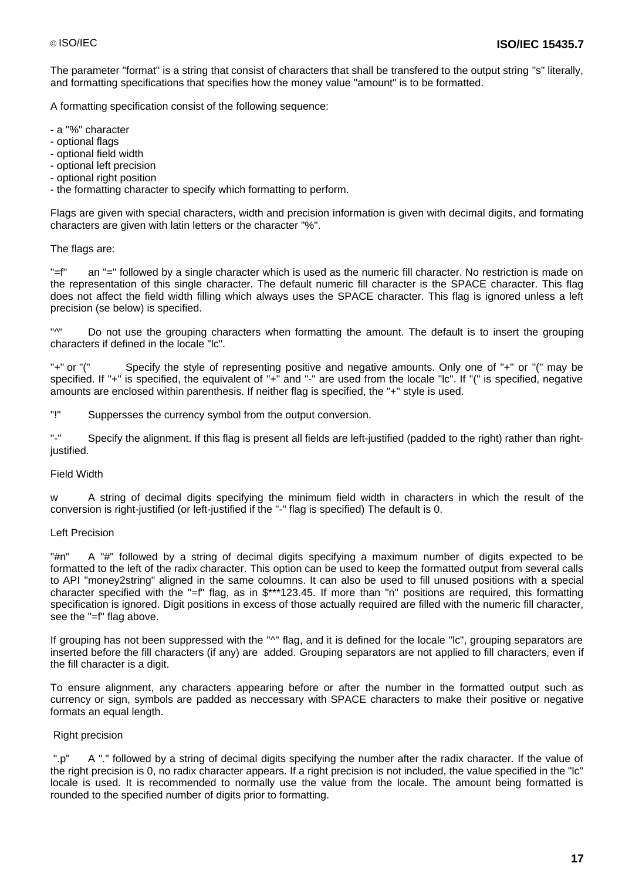The parameter "format" is a string that consist of characters that shall be transfered to the output string "s" literally, and formatting specifications that specifies how the money value "amount" is to be formatted.

A formatting specification consist of the following sequence:

- a "%" character
- optional flags
- optional field width
- optional left precision
- optional right position
- the formatting character to specify which formatting to perform.

Flags are given with special characters, width and precision information is given with decimal digits, and formating characters are given with latin letters or the character "%".

#### The flags are:

"=f" an "=" followed by a single character which is used as the numeric fill character. No restriction is made on the representation of this single character. The default numeric fill character is the SPACE character. This flag does not affect the field width filling which always uses the SPACE character. This flag is ignored unless a left precision (se below) is specified.

"^" Do not use the grouping characters when formatting the amount. The default is to insert the grouping characters if defined in the locale "lc".

"+" or "(" Specify the style of representing positive and negative amounts. Only one of "+" or "(" may be specified. If "+" is specified, the equivalent of "+" and "-" are used from the locale "lc". If "(" is specified, negative amounts are enclosed within parenthesis. If neither flag is specified, the "+" style is used.

"!" Suppersses the currency symbol from the output conversion.

"-" Specify the alignment. If this flag is present all fields are left-justified (padded to the right) rather than rightjustified.

#### Field Width

w A string of decimal digits specifying the minimum field width in characters in which the result of the conversion is right-justified (or left-justified if the "-" flag is specified) The default is 0.

#### Left Precision

"#n" A "#" followed by a string of decimal digits specifying a maximum number of digits expected to be formatted to the left of the radix character. This option can be used to keep the formatted output from several calls to API "money2string" aligned in the same coloumns. It can also be used to fill unused positions with a special character specified with the "=f" flag, as in \$\*\*\*123.45. If more than "n" positions are required, this formatting specification is ignored. Digit positions in excess of those actually required are filled with the numeric fill character, see the "=f" flag above.

If grouping has not been suppressed with the "^" flag, and it is defined for the locale "lc", grouping separators are inserted before the fill characters (if any) are added. Grouping separators are not applied to fill characters, even if the fill character is a digit.

To ensure alignment, any characters appearing before or after the number in the formatted output such as currency or sign, symbols are padded as neccessary with SPACE characters to make their positive or negative formats an equal length.

#### Right precision

".p" A "." followed by a string of decimal digits specifying the number after the radix character. If the value of the right precision is 0, no radix character appears. If a right precision is not included, the value specified in the "lc" locale is used. It is recommended to normally use the value from the locale. The amount being formatted is rounded to the specified number of digits prior to formatting.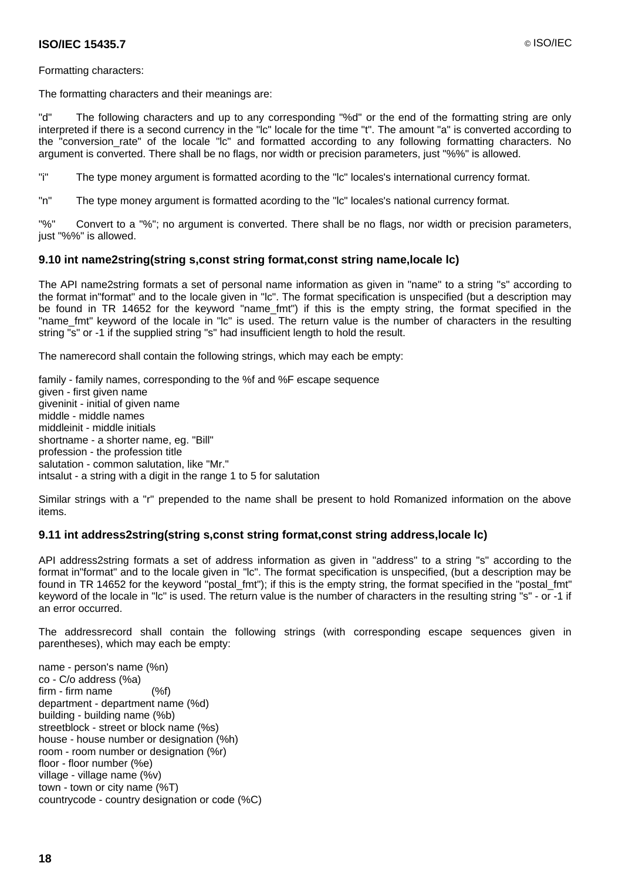#### **ISO/IEC 15435.7** © ISO/IEC

#### Formatting characters:

The formatting characters and their meanings are:

"d" The following characters and up to any corresponding "%d" or the end of the formatting string are only interpreted if there is a second currency in the "lc" locale for the time "t". The amount "a" is converted according to the "conversion\_rate" of the locale "lc" and formatted according to any following formatting characters. No argument is converted. There shall be no flags, nor width or precision parameters, just "%%" is allowed.

"i" The type money argument is formatted acording to the "lc" locales's international currency format.

"n" The type money argument is formatted acording to the "lc" locales's national currency format.

"%" Convert to a "%"; no argument is converted. There shall be no flags, nor width or precision parameters, just "%%" is allowed.

#### **9.10 int name2string(string s,const string format,const string name,locale lc)**

The API name2string formats a set of personal name information as given in "name" to a string "s" according to the format in"format" and to the locale given in "lc". The format specification is unspecified (but a description may be found in TR 14652 for the keyword "name\_fmt") if this is the empty string, the format specified in the "name\_fmt" keyword of the locale in "lc" is used. The return value is the number of characters in the resulting string "s" or -1 if the supplied string "s" had insufficient length to hold the result.

The namerecord shall contain the following strings, which may each be empty:

family - family names, corresponding to the %f and %F escape sequence given - first given name giveninit - initial of given name middle - middle names middleinit - middle initials shortname - a shorter name, eg. "Bill" profession - the profession title salutation - common salutation, like "Mr." intsalut - a string with a digit in the range 1 to 5 for salutation

Similar strings with a "r" prepended to the name shall be present to hold Romanized information on the above items.

#### **9.11 int address2string(string s,const string format,const string address,locale lc)**

API address2string formats a set of address information as given in "address" to a string "s" according to the format in"format" and to the locale given in "lc". The format specification is unspecified, (but a description may be found in TR 14652 for the keyword "postal fmt"); if this is the empty string, the format specified in the "postal fmt" keyword of the locale in "lc" is used. The return value is the number of characters in the resulting string "s" - or -1 if an error occurred.

The addressrecord shall contain the following strings (with corresponding escape sequences given in parentheses), which may each be empty:

name - person's name (%n) co - C/o address (%a) firm - firm name (%f) department - department name (%d) building - building name (%b) streetblock - street or block name (%s) house - house number or designation (%h) room - room number or designation (%r) floor - floor number (%e) village - village name (%v) town - town or city name (%T) countrycode - country designation or code (%C)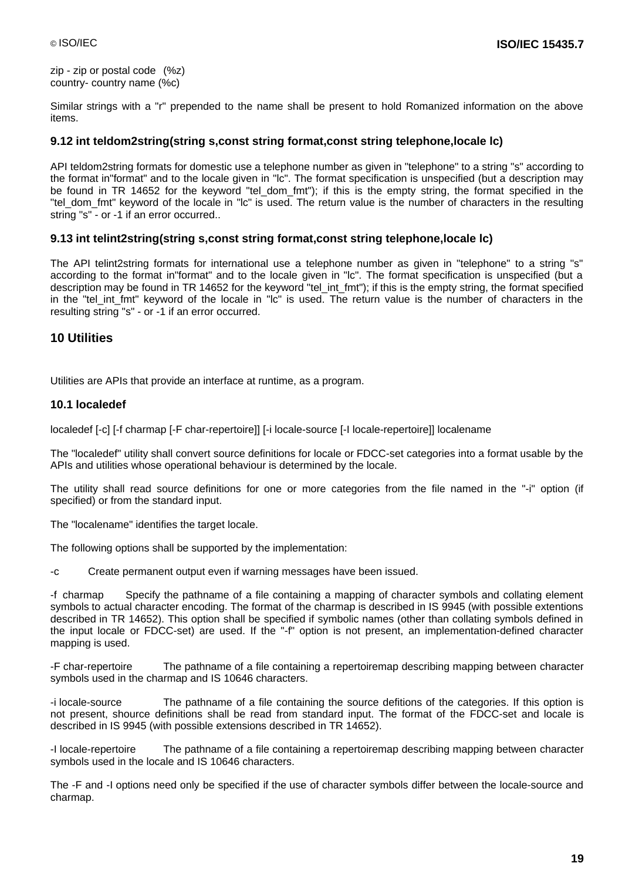zip - zip or postal code (%z) country- country name (%c)

Similar strings with a "r" prepended to the name shall be present to hold Romanized information on the above items.

#### **9.12 int teldom2string(string s,const string format,const string telephone,locale lc)**

API teldom2string formats for domestic use a telephone number as given in "telephone" to a string "s" according to the format in"format" and to the locale given in "lc". The format specification is unspecified (but a description may be found in TR 14652 for the keyword "tel dom fmt"); if this is the empty string, the format specified in the "tel dom fmt" keyword of the locale in "lc" is used. The return value is the number of characters in the resulting string "s" - or -1 if an error occurred..

#### **9.13 int telint2string(string s,const string format,const string telephone,locale lc)**

The API telint2string formats for international use a telephone number as given in "telephone" to a string "s" according to the format in"format" and to the locale given in "lc". The format specification is unspecified (but a description may be found in TR 14652 for the keyword "tel\_int\_fmt"); if this is the empty string, the format specified in the "tel\_int\_fmt" keyword of the locale in "lc" is used. The return value is the number of characters in the resulting string "s" - or -1 if an error occurred.

#### **10 Utilities**

Utilities are APIs that provide an interface at runtime, as a program.

#### **10.1 localedef**

localedef [-c] [-f charmap [-F char-repertoire]] [-i locale-source [-I locale-repertoire]] localename

The "localedef" utility shall convert source definitions for locale or FDCC-set categories into a format usable by the APIs and utilities whose operational behaviour is determined by the locale.

The utility shall read source definitions for one or more categories from the file named in the "-i" option (if specified) or from the standard input.

The "localename" identifies the target locale.

The following options shall be supported by the implementation:

-c Create permanent output even if warning messages have been issued.

-f charmap Specify the pathname of a file containing a mapping of character symbols and collating element symbols to actual character encoding. The format of the charmap is described in IS 9945 (with possible extentions described in TR 14652). This option shall be specified if symbolic names (other than collating symbols defined in the input locale or FDCC-set) are used. If the "-f" option is not present, an implementation-defined character mapping is used.

-F char-repertoire The pathname of a file containing a repertoiremap describing mapping between character symbols used in the charmap and IS 10646 characters.

-i locale-source The pathname of a file containing the source defitions of the categories. If this option is not present, shource definitions shall be read from standard input. The format of the FDCC-set and locale is described in IS 9945 (with possible extensions described in TR 14652).

-I locale-repertoire The pathname of a file containing a repertoiremap describing mapping between character symbols used in the locale and IS 10646 characters.

The -F and -I options need only be specified if the use of character symbols differ between the locale-source and charmap.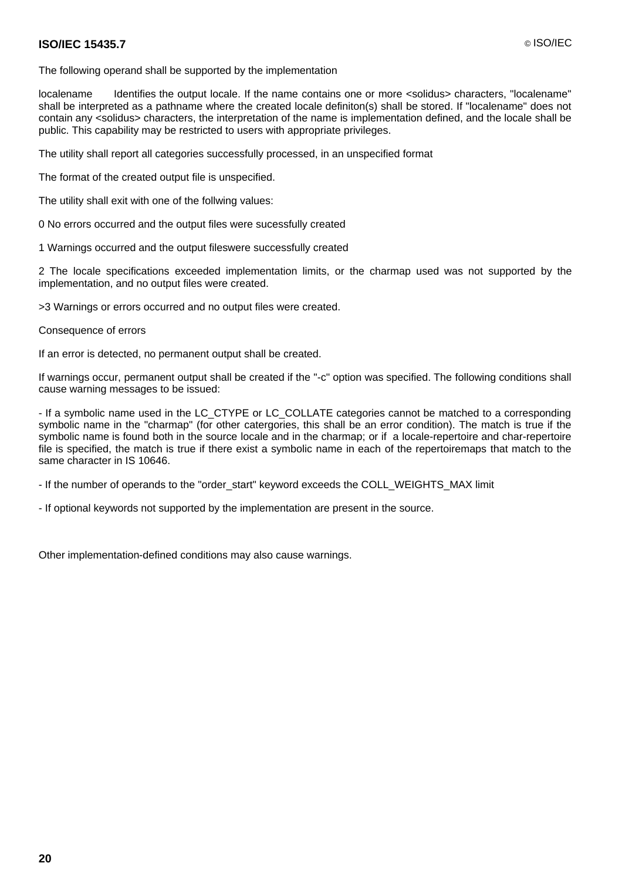#### **ISO/IEC 15435.7** © ISO/IEC

The following operand shall be supported by the implementation

localename Identifies the output locale. If the name contains one or more <solidus> characters, "localename" shall be interpreted as a pathname where the created locale definiton(s) shall be stored. If "localename" does not contain any <solidus> characters, the interpretation of the name is implementation defined, and the locale shall be public. This capability may be restricted to users with appropriate privileges.

The utility shall report all categories successfully processed, in an unspecified format

The format of the created output file is unspecified.

The utility shall exit with one of the follwing values:

- 0 No errors occurred and the output files were sucessfully created
- 1 Warnings occurred and the output fileswere successfully created

2 The locale specifications exceeded implementation limits, or the charmap used was not supported by the implementation, and no output files were created.

>3 Warnings or errors occurred and no output files were created.

Consequence of errors

If an error is detected, no permanent output shall be created.

If warnings occur, permanent output shall be created if the "-c" option was specified. The following conditions shall cause warning messages to be issued:

- If a symbolic name used in the LC\_CTYPE or LC\_COLLATE categories cannot be matched to a corresponding symbolic name in the "charmap" (for other catergories, this shall be an error condition). The match is true if the symbolic name is found both in the source locale and in the charmap; or if a locale-repertoire and char-repertoire file is specified, the match is true if there exist a symbolic name in each of the repertoiremaps that match to the same character in IS 10646.

- If the number of operands to the "order\_start" keyword exceeds the COLL\_WEIGHTS\_MAX limit

- If optional keywords not supported by the implementation are present in the source.

Other implementation-defined conditions may also cause warnings.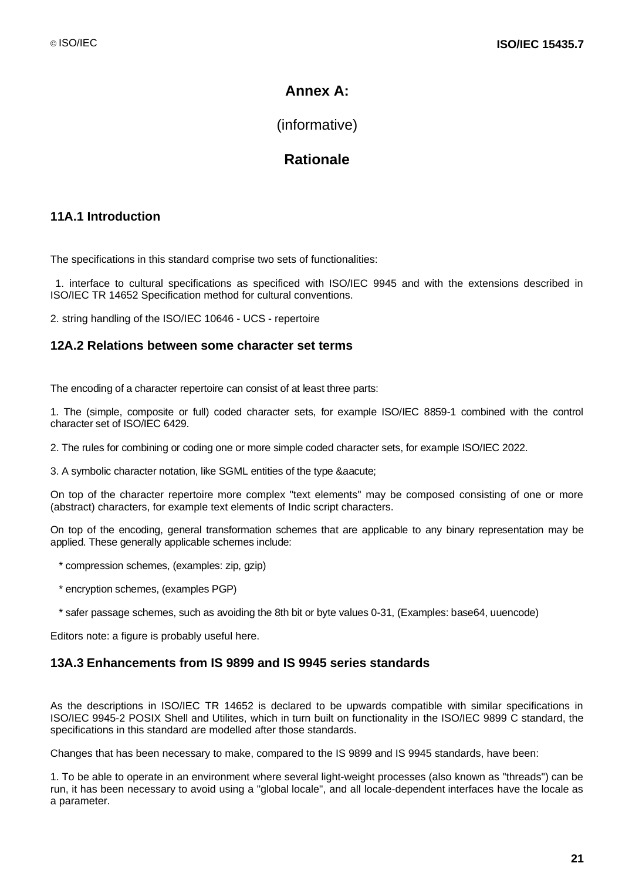## **Annex A:**

(informative)

## **Rationale**

## **11A.1 Introduction**

The specifications in this standard comprise two sets of functionalities:

1. interface to cultural specifications as specificed with ISO/IEC 9945 and with the extensions described in ISO/IEC TR 14652 Specification method for cultural conventions.

2. string handling of the ISO/IEC 10646 - UCS - repertoire

### **12A.2 Relations between some character set terms**

The encoding of a character repertoire can consist of at least three parts:

1. The (simple, composite or full) coded character sets, for example ISO/IEC 8859-1 combined with the control character set of ISO/IEC 6429.

2. The rules for combining or coding one or more simple coded character sets, for example ISO/IEC 2022.

3. A symbolic character notation, like SGML entities of the type & aacute;

On top of the character repertoire more complex "text elements" may be composed consisting of one or more (abstract) characters, for example text elements of Indic script characters.

On top of the encoding, general transformation schemes that are applicable to any binary representation may be applied. These generally applicable schemes include:

- \* compression schemes, (examples: zip, gzip)
- \* encryption schemes, (examples PGP)
- \* safer passage schemes, such as avoiding the 8th bit or byte values 0-31, (Examples: base64, uuencode)

Editors note: a figure is probably useful here.

#### **13A.3 Enhancements from IS 9899 and IS 9945 series standards**

As the descriptions in ISO/IEC TR 14652 is declared to be upwards compatible with similar specifications in ISO/IEC 9945-2 POSIX Shell and Utilites, which in turn built on functionality in the ISO/IEC 9899 C standard, the specifications in this standard are modelled after those standards.

Changes that has been necessary to make, compared to the IS 9899 and IS 9945 standards, have been:

1. To be able to operate in an environment where several light-weight processes (also known as "threads") can be run, it has been necessary to avoid using a "global locale", and all locale-dependent interfaces have the locale as a parameter.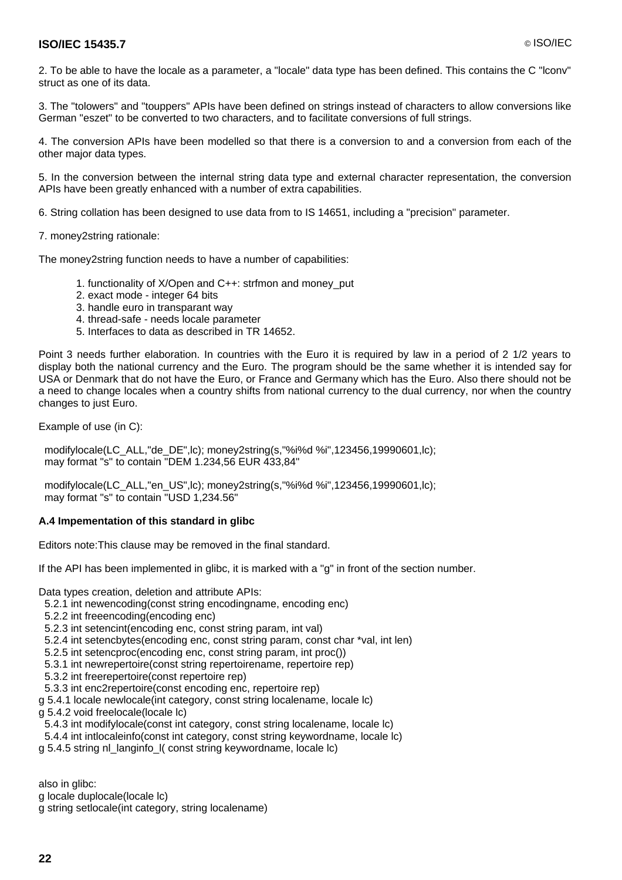2. To be able to have the locale as a parameter, a "locale" data type has been defined. This contains the C "lconv" struct as one of its data.

3. The "tolowers" and "touppers" APIs have been defined on strings instead of characters to allow conversions like German "eszet" to be converted to two characters, and to facilitate conversions of full strings.

4. The conversion APIs have been modelled so that there is a conversion to and a conversion from each of the other major data types.

5. In the conversion between the internal string data type and external character representation, the conversion APIs have been greatly enhanced with a number of extra capabilities.

6. String collation has been designed to use data from to IS 14651, including a "precision" parameter.

7. money2string rationale:

The money2string function needs to have a number of capabilities:

- 1. functionality of X/Open and C++: strfmon and money\_put
- 2. exact mode integer 64 bits
- 3. handle euro in transparant way
- 4. thread-safe needs locale parameter
- 5. Interfaces to data as described in TR 14652.

Point 3 needs further elaboration. In countries with the Euro it is required by law in a period of 2 1/2 years to display both the national currency and the Euro. The program should be the same whether it is intended say for USA or Denmark that do not have the Euro, or France and Germany which has the Euro. Also there should not be a need to change locales when a country shifts from national currency to the dual currency, nor when the country changes to just Euro.

Example of use (in C):

 modifylocale(LC\_ALL,"de\_DE",lc); money2string(s,"%i%d %i",123456,19990601,lc); may format "s" to contain "DEM 1.234,56 EUR 433,84"

 modifylocale(LC\_ALL,"en\_US",lc); money2string(s,"%i%d %i",123456,19990601,lc); may format "s" to contain "USD 1,234.56"

#### **A.4 Impementation of this standard in glibc**

Editors note:This clause may be removed in the final standard.

If the API has been implemented in glibc, it is marked with a "g" in front of the section number.

Data types creation, deletion and attribute APIs:

- 5.2.1 int newencoding(const string encodingname, encoding enc)
- 5.2.2 int freeencoding(encoding enc)
- 5.2.3 int setencint(encoding enc, const string param, int val)
- 5.2.4 int setencbytes(encoding enc, const string param, const char \*val, int len)
- 5.2.5 int setencproc(encoding enc, const string param, int proc())
- 5.3.1 int newrepertoire(const string repertoirename, repertoire rep)
- 5.3.2 int freerepertoire(const repertoire rep)
- 5.3.3 int enc2repertoire(const encoding enc, repertoire rep)
- g 5.4.1 locale newlocale(int category, const string localename, locale lc)

g 5.4.2 void freelocale(locale lc)

- 5.4.3 int modifylocale(const int category, const string localename, locale lc)
- 5.4.4 int intlocaleinfo(const int category, const string keywordname, locale lc)
- g 5.4.5 string nl\_langinfo\_l( const string keywordname, locale lc)

also in glibc:

- g locale duplocale(locale lc)
- g string setlocale(int category, string localename)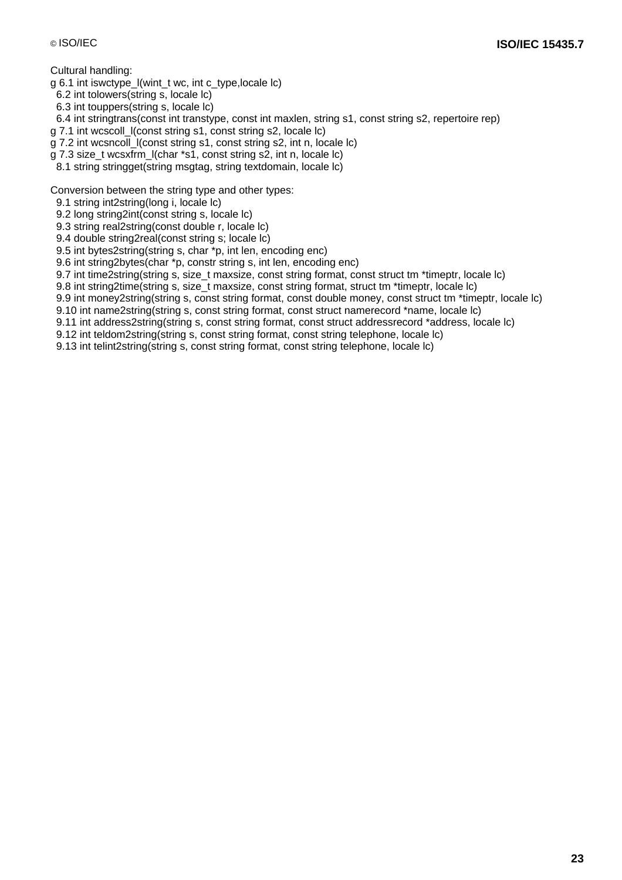#### Cultural handling:

g 6.1 int iswctype\_l(wint\_t wc, int c\_type,locale lc)

6.2 int tolowers(string s, locale lc)

6.3 int touppers(string s, locale lc)

6.4 int stringtrans(const int transtype, const int maxlen, string s1, const string s2, repertoire rep)

g 7.1 int wcscoll\_l(const string s1, const string s2, locale lc)

g 7.2 int wcsncoll\_l(const string s1, const string s2, int n, locale lc)

g 7.3 size\_t wcsxfrm\_l(char \*s1, const string s2, int n, locale lc)

8.1 string stringget(string msgtag, string textdomain, locale lc)

Conversion between the string type and other types:

9.1 string int2string(long i, locale lc)

9.2 long string2int(const string s, locale lc)

9.3 string real2string(const double r, locale lc)

9.4 double string2real(const string s; locale lc)

9.5 int bytes2string(string s, char \*p, int len, encoding enc)

9.6 int string2bytes(char \*p, constr string s, int len, encoding enc)

9.7 int time2string(string s, size t maxsize, const string format, const struct tm \*timeptr, locale lc)

9.8 int string2time(string s, size\_t maxsize, const string format, struct tm \*timeptr, locale lc)

9.9 int money2string(string s, const string format, const double money, const struct tm \*timeptr, locale lc)

9.10 int name2string(string s, const string format, const struct namerecord \*name, locale lc)

9.11 int address2string(string s, const string format, const struct addressrecord \*address, locale lc)

9.12 int teldom2string(string s, const string format, const string telephone, locale lc)

9.13 int telint2string(string s, const string format, const string telephone, locale lc)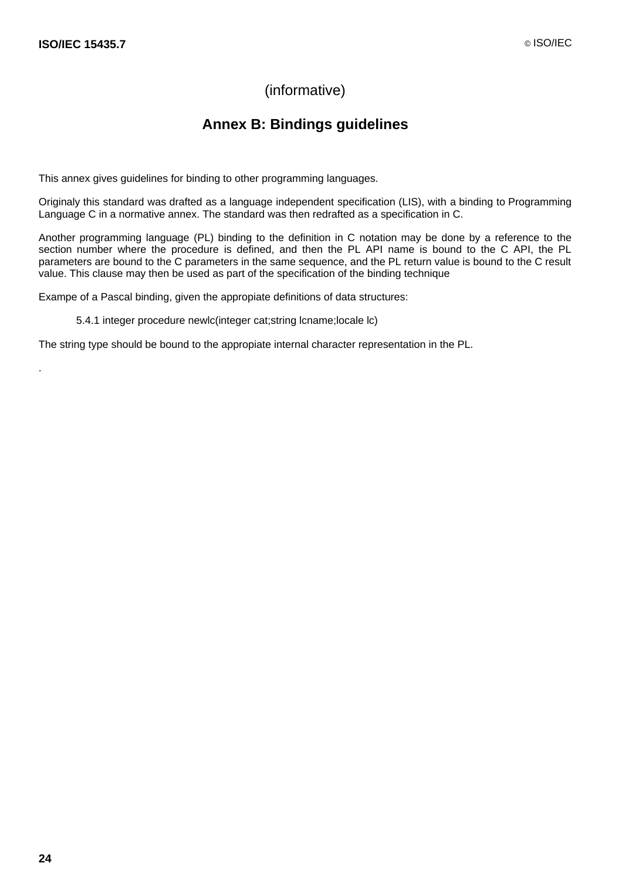## (informative)

## **Annex B: Bindings guidelines**

This annex gives guidelines for binding to other programming languages.

Originaly this standard was drafted as a language independent specification (LIS), with a binding to Programming Language C in a normative annex. The standard was then redrafted as a specification in C.

Another programming language (PL) binding to the definition in C notation may be done by a reference to the section number where the procedure is defined, and then the PL API name is bound to the C API, the PL parameters are bound to the C parameters in the same sequence, and the PL return value is bound to the C result value. This clause may then be used as part of the specification of the binding technique

Exampe of a Pascal binding, given the appropiate definitions of data structures:

5.4.1 integer procedure newlc(integer cat;string lcname;locale lc)

The string type should be bound to the appropiate internal character representation in the PL.

.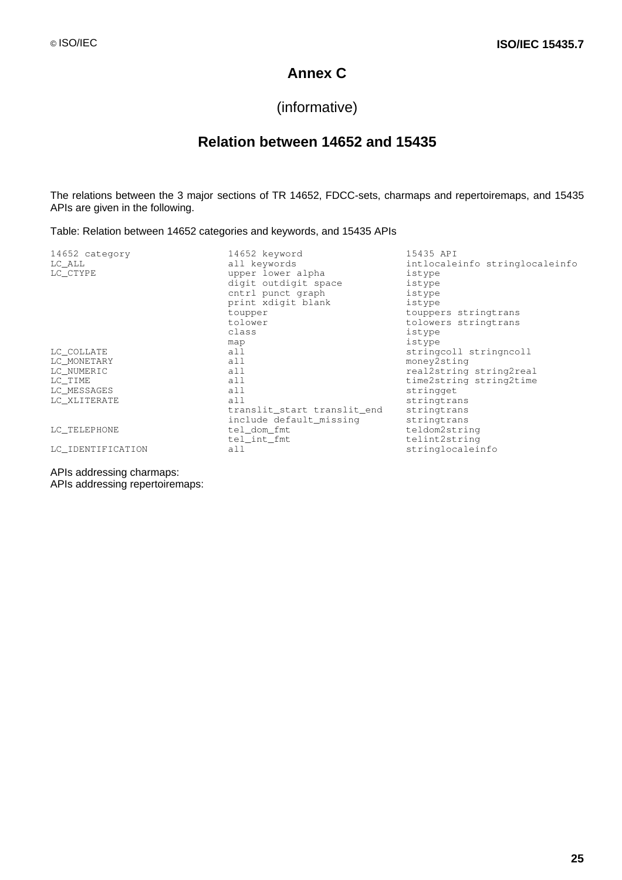## **Annex C**

## (informative)

## **Relation between 14652 and 15435**

The relations between the 3 major sections of TR 14652, FDCC-sets, charmaps and repertoiremaps, and 15435 APIs are given in the following.

Table: Relation between 14652 categories and keywords, and 15435 APIs

| 14652 category    | 14652 keyword               | 15435 API                      |
|-------------------|-----------------------------|--------------------------------|
| LC ALL            | all keywords                | intlocaleinfo stringlocaleinfo |
| LC_CTYPE          | upper lower alpha           | istype                         |
|                   | digit outdigit space        | istype                         |
|                   | cntrl punct graph           | istype                         |
|                   | print xdigit blank          | istype                         |
|                   | toupper                     | touppers stringtrans           |
|                   | tolower                     | tolowers stringtrans           |
|                   | class                       | istype                         |
|                   | map                         | istype                         |
| LC COLLATE        | all                         | stringcoll stringncoll         |
| LC MONETARY       | all                         | money2sting                    |
| LC NUMERIC        | all                         | real2string string2real        |
| LC TIME           | all                         | time2string string2time        |
| LC_MESSAGES       | all                         | stringget                      |
| LC XLITERATE      | a11                         | stringtrans                    |
|                   | translit_start translit_end | stringtrans                    |
|                   | include default_missing     | stringtrans                    |
| LC TELEPHONE      | tel_dom_fmt                 | teldom2string                  |
|                   | tel_int_fmt                 | telint2string                  |
| LC IDENTIFICATION | all                         | stringlocaleinfo               |
|                   |                             |                                |

APIs addressing charmaps:

APIs addressing repertoiremaps: